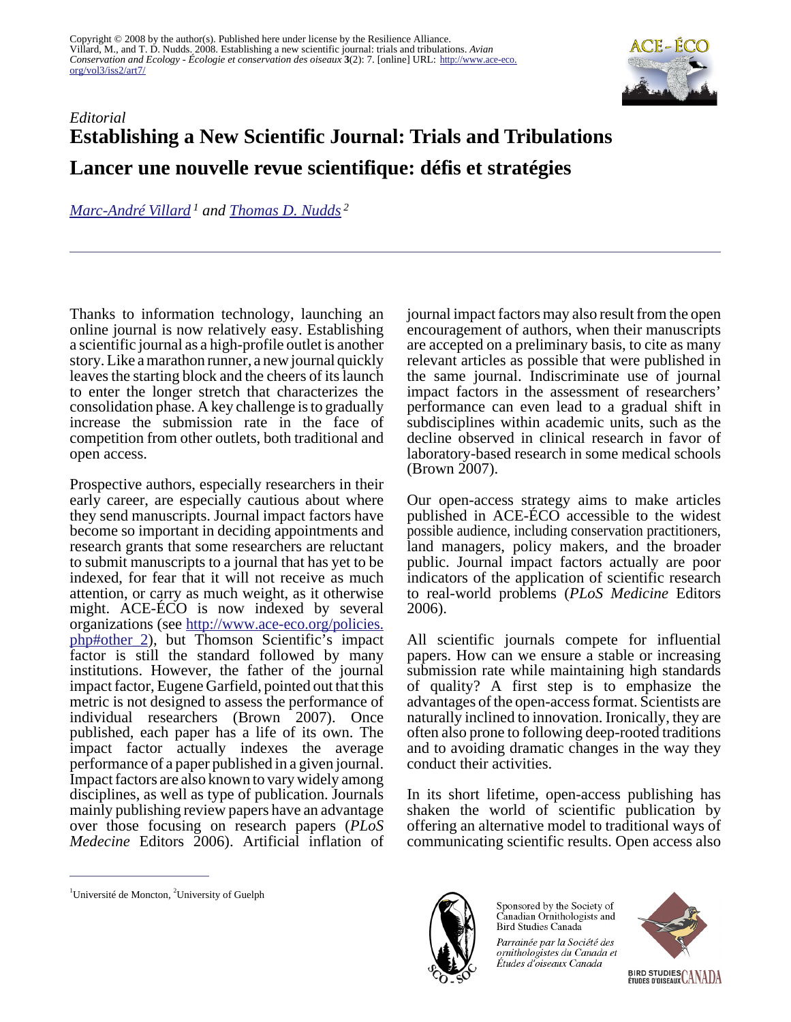

## *Editorial* **Establishing a New Scientific Journal: Trials and Tribulations Lancer une nouvelle revue scientifique: défis et stratégies**

*[Marc-André Villard](mailto:marc-andre.villard@umoncton.ca)<sup>1</sup> and [Thomas D. Nudds](mailto:tnudds@uoguelph.ca)<sup>2</sup>*

Thanks to information technology, launching an online journal is now relatively easy. Establishing a scientific journal as a high-profile outlet is another story. Like a marathon runner, a new journal quickly leaves the starting block and the cheers of its launch to enter the longer stretch that characterizes the consolidation phase. A key challenge is to gradually increase the submission rate in the face of competition from other outlets, both traditional and open access.

Prospective authors, especially researchers in their early career, are especially cautious about where they send manuscripts. Journal impact factors have become so important in deciding appointments and research grants that some researchers are reluctant to submit manuscripts to a journal that has yet to be indexed, for fear that it will not receive as much attention, or carry as much weight, as it otherwise might. ACE-ECO is now indexed by several organizations (see [http://www.ace-eco.org/policies.](http://www.ace-eco.org/policies.php#other_2) [php#other\\_2\)](http://www.ace-eco.org/policies.php#other_2), but Thomson Scientific's impact factor is still the standard followed by many institutions. However, the father of the journal impact factor, Eugene Garfield, pointed out that this metric is not designed to assess the performance of individual researchers (Brown 2007). Once published, each paper has a life of its own. The impact factor actually indexes the average performance of a paper published in a given journal. Impact factors are also known to vary widely among disciplines, as well as type of publication. Journals mainly publishing review papers have an advantage over those focusing on research papers (*PLoS Medecine* Editors 2006). Artificial inflation of

journal impact factors may also result from the open encouragement of authors, when their manuscripts are accepted on a preliminary basis, to cite as many relevant articles as possible that were published in the same journal. Indiscriminate use of journal impact factors in the assessment of researchers' performance can even lead to a gradual shift in subdisciplines within academic units, such as the decline observed in clinical research in favor of laboratory-based research in some medical schools (Brown 2007).

Our open-access strategy aims to make articles published in ACE-ÉCO accessible to the widest possible audience, including conservation practitioners, land managers, policy makers, and the broader public. Journal impact factors actually are poor indicators of the application of scientific research to real-world problems (*PLoS Medicine* Editors 2006).

All scientific journals compete for influential papers. How can we ensure a stable or increasing submission rate while maintaining high standards of quality? A first step is to emphasize the advantages of the open-access format. Scientists are naturally inclined to innovation. Ironically, they are often also prone to following deep-rooted traditions and to avoiding dramatic changes in the way they conduct their activities.

In its short lifetime, open-access publishing has shaken the world of scientific publication by offering an alternative model to traditional ways of communicating scientific results. Open access also



Sponsored by the Society of Canadian Ornithologists and Bird Studies Canada Parrainée par la Société des ornithologistes du Canada et

Études d'oiseaux Canada



<sup>&</sup>lt;sup>1</sup>Université de Moncton, <sup>2</sup>University of Guelph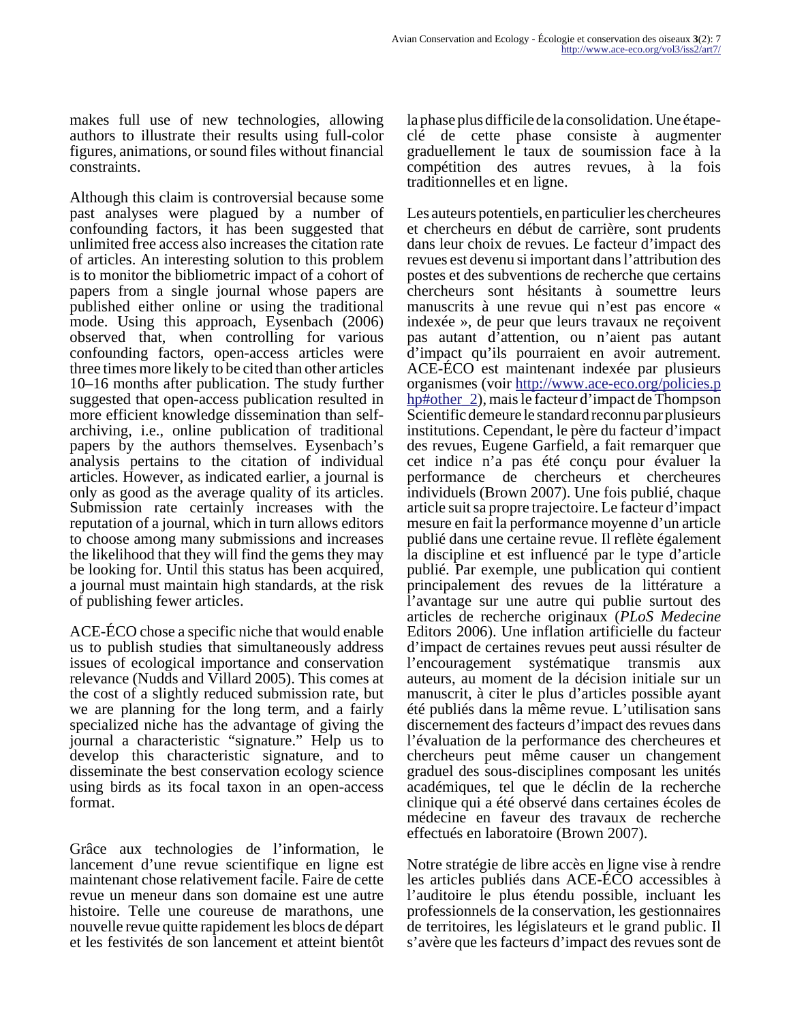makes full use of new technologies, allowing authors to illustrate their results using full-color figures, animations, or sound files without financial constraints.

Although this claim is controversial because some past analyses were plagued by a number of confounding factors, it has been suggested that unlimited free access also increases the citation rate of articles. An interesting solution to this problem is to monitor the bibliometric impact of a cohort of papers from a single journal whose papers are published either online or using the traditional mode. Using this approach, Eysenbach (2006) observed that, when controlling for various confounding factors, open-access articles were three times more likely to be cited than other articles 10–16 months after publication. The study further suggested that open-access publication resulted in more efficient knowledge dissemination than selfarchiving, i.e., online publication of traditional papers by the authors themselves. Eysenbach's analysis pertains to the citation of individual articles. However, as indicated earlier, a journal is only as good as the average quality of its articles. Submission rate certainly increases with the reputation of a journal, which in turn allows editors to choose among many submissions and increases the likelihood that they will find the gems they may be looking for. Until this status has been acquired, a journal must maintain high standards, at the risk of publishing fewer articles.

ACE-ECO chose a specific niche that would enable us to publish studies that simultaneously address issues of ecological importance and conservation relevance (Nudds and Villard 2005). This comes at the cost of a slightly reduced submission rate, but we are planning for the long term, and a fairly specialized niche has the advantage of giving the journal a characteristic "signature." Help us to develop this characteristic signature, and to disseminate the best conservation ecology science using birds as its focal taxon in an open-access format.

Grâce aux technologies de l'information, le lancement d'une revue scientifique en ligne est maintenant chose relativement facile. Faire de cette revue un meneur dans son domaine est une autre histoire. Telle une coureuse de marathons, une nouvelle revue quitte rapidement les blocs de départ et les festivités de son lancement et atteint bientôt

la phase plus difficile de la consolidation. Une étapeclé de cette phase consiste à augmenter graduellement le taux de soumission face à la compétition des autres revues, à la fois traditionnelles et en ligne.

Les auteurs potentiels, en particulier les chercheures et chercheurs en début de carrière, sont prudents dans leur choix de revues. Le facteur d'impact des revues est devenu si important dans l'attribution des postes et des subventions de recherche que certains chercheurs sont hésitants à soumettre leurs manuscrits à une revue qui n'est pas encore « indexée », de peur que leurs travaux ne reçoivent pas autant d'attention, ou n'aient pas autant d'impact qu'ils pourraient en avoir autrement. ACE-ÉCO est maintenant indexée par plusieurs organismes (voir [http://www.ace-eco.org/policies.p](http://www.ace-eco.org/policies.php#other_2) [hp#other\\_2\)](http://www.ace-eco.org/policies.php#other_2), mais le facteur d'impact de Thompson Scientific demeure le standard reconnu par plusieurs institutions. Cependant, le père du facteur d'impact des revues, Eugene Garfield, a fait remarquer que cet indice n'a pas été conçu pour évaluer la performance de chercheurs et chercheures individuels (Brown 2007). Une fois publié, chaque article suit sa propre trajectoire. Le facteur d'impact mesure en fait la performance moyenne d'un article publié dans une certaine revue. Il reflète également la discipline et est influencé par le type d'article publié. Par exemple, une publication qui contient principalement des revues de la littérature a l'avantage sur une autre qui publie surtout des articles de recherche originaux (*PLoS Medecine* Editors 2006). Une inflation artificielle du facteur d'impact de certaines revues peut aussi résulter de l'encouragement systématique transmis aux auteurs, au moment de la décision initiale sur un manuscrit, à citer le plus d'articles possible ayant été publiés dans la même revue. L'utilisation sans discernement des facteurs d'impact des revues dans l'évaluation de la performance des chercheures et chercheurs peut même causer un changement graduel des sous-disciplines composant les unités académiques, tel que le déclin de la recherche clinique qui a été observé dans certaines écoles de médecine en faveur des travaux de recherche effectués en laboratoire (Brown 2007).

Notre stratégie de libre accès en ligne vise à rendre les articles publiés dans ACE-ÉCO accessibles à l'auditoire le plus étendu possible, incluant les professionnels de la conservation, les gestionnaires de territoires, les législateurs et le grand public. Il s'avère que les facteurs d'impact des revues sont de